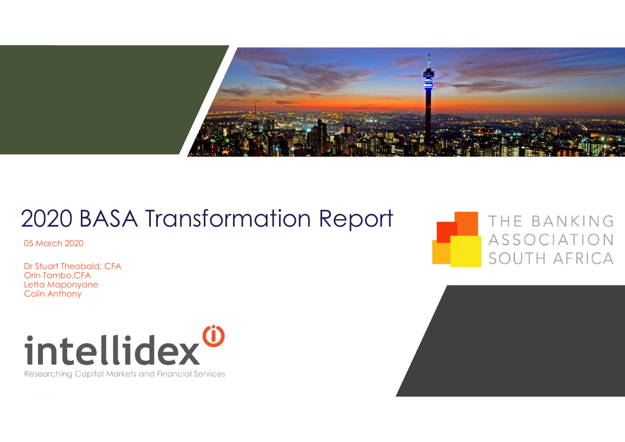

# 2020 BASA Transformation Report

05 March 2020

Dr Stuart Theobald, CFA Orin Tambo,CFA Letta Maponyane Colin Anthony



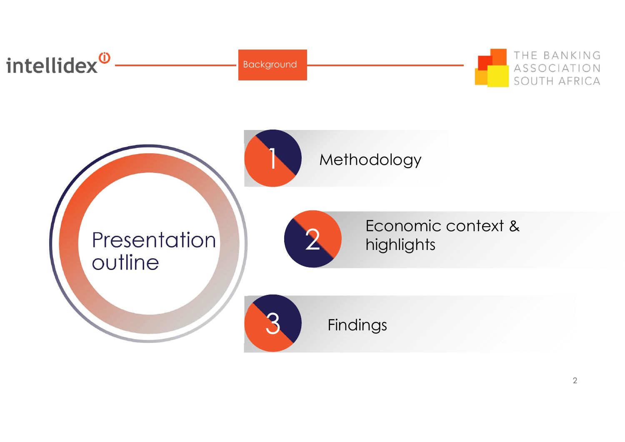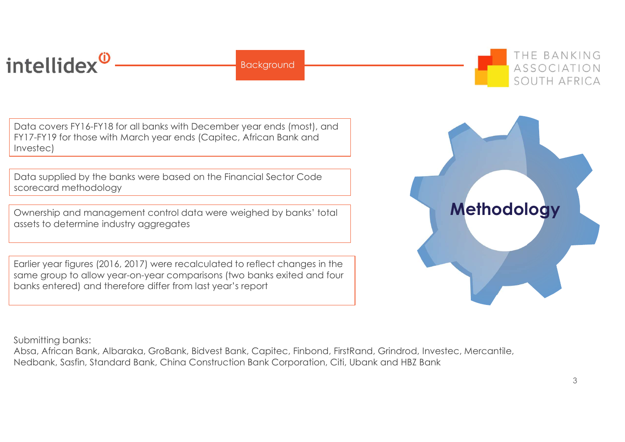# intellidex<sup>®</sup>

**Background** 

Data covers FY16-FY18 for all banks with December year ends (most), and FY17-FY19 for those with March year ends (Capitec, African Bank and Investec)

Data supplied by the banks were based on the Financial Sector Code scorecard methodology

Ownership and management control data were weighed by banks' total assets to determine industry aggregates

Earlier year figures (2016, 2017) were recalculated to reflect changes in the same group to allow year-on-year comparisons (two banks exited and four banks entered) and therefore differ from last year's report

Submitting banks:

Absa, African Bank, Albaraka, GroBank, Bidvest Bank, Capitec, Finbond, FirstRand, Grindrod, Investec, Mercantile,



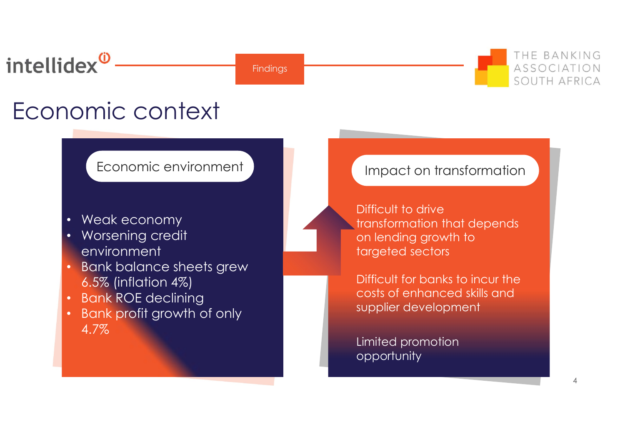# intellidex<sup>0</sup>

**Findings** 



# Economic context

# Economic environment

- Weak economy
- Worsening credit environment
- Bank balance sheets grew 6.5% (inflation 4%)
- Bank ROE declining
- Bank profit growth of only 4.7%

# Impact on transformation

Difficult to drive transformation that depends on lending growth to targeted sectors

Difficult for banks to incur the costs of enhanced skills and supplier development

Limited promotion opportunity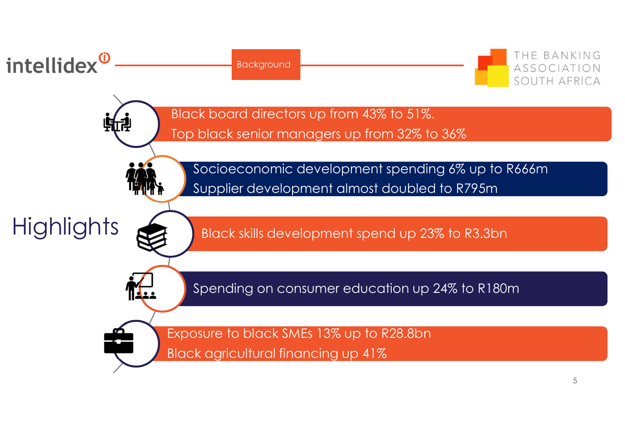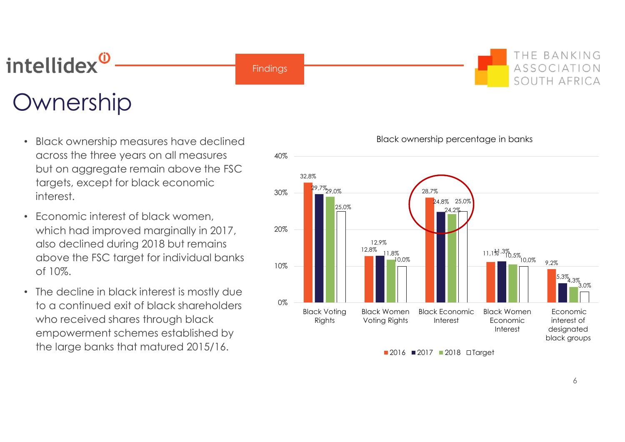## THE BANKING intellidex<sup>0</sup> ASSOCIATION **Findings** SOUTH AFRICA Ownership

- Black ownership measures have declined across the three years on all measures but on aggregate remain above the FSC  $_{32.8\%}$ targets, except for black economic<br>30% interest.
- Economic interest of black women, which had improved marginally in 2017,  $20\%$ also declined during 2018 but remains above the FSC target for individual banks of 10%.
- The decline in black interest is mostly due to a continued exit of black shareholders  $\frac{10\%}{\text{Black Votina}}$ who received shares through black empowerment schemes established by the large banks that matured 2015/16.



6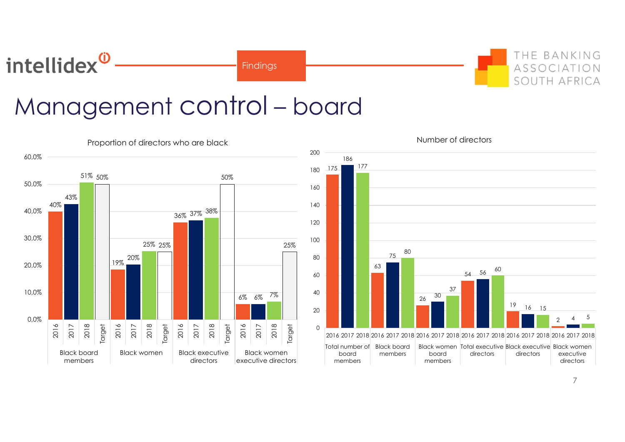**Findings** 



7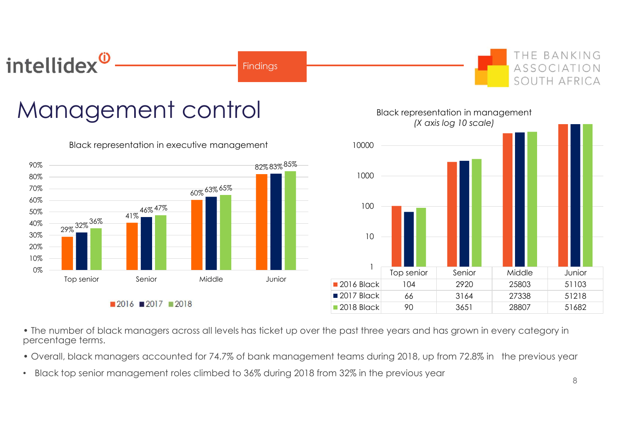

# Management control



Black representation in executive management



• The number of black managers across all levels has ticket up over the past three years and has grown in every category in percentage terms.

- Overall, black managers accounted for 74.7% of bank management teams during 2018, up from 72.8% in the previous year
- Black top senior management roles climbed to 36% during 2018 from 32% in the previous year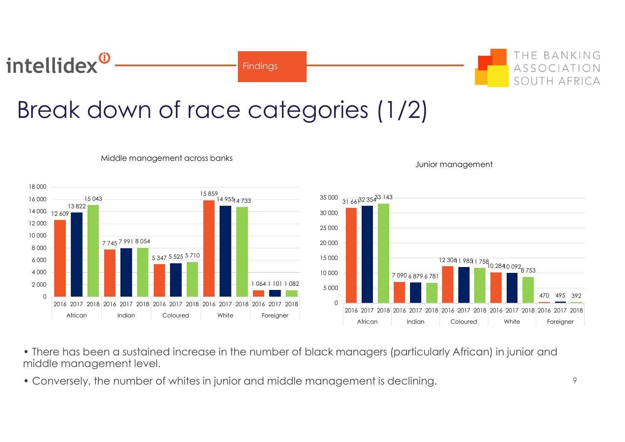# Break down of race categories (1/2)

Findings



intellidex<sup>0</sup>

Middle management across banks

Junior management

- There has been a sustained increase in the number of black managers (particularly African) in junior and middle management level.
- Conversely, the number of whites in junior and middle management is declining.

THE BANKING

ASSOCIAT SOUTH AFRI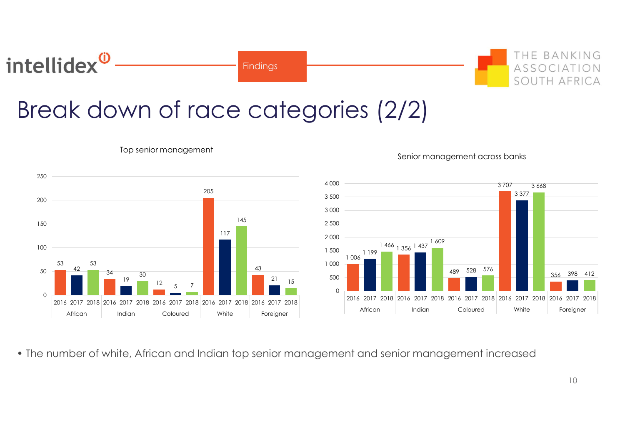# Break down of race categories (2/2)

**Findings** 



Top senior management

intellidex<sup>®</sup>

## 43 21 15 <sup>500</sup> 7 7 7 7 7 7 7 7 1 006 1 199 1 466 1 356 1 437 1 609  $489$  528 576  $\begin{array}{|c|c|c|c|c|c|c|c|c|} \hline \end{array}$   $412$ 3 707 3 668 3 377 3 668 356 398 412 0 500 1 000  $1\,500$   $1\,99$   $1\,90$   $1\,90$   $1\,90$ 2 000 2 500 3 000 3 500 4 000 2016 2017 2018 2016 2017 2018 2016 2017 2018 2016 2017 2018 2016 2017 2018 2016 2017 2018 2016 2017 2018 2016 2017 2018 2016 2017 2018 2016 2017 2018 2016 2017 2018 2016 2017 2018 2016 2017 2018 2016 2017 2018 2016 2017 20 Senior management across banks<br>
3707 3368<br>
3707 3368<br>
3707 3368<br>
3707 3368<br>
3707 3368<br>
386 376<br>
489 528 576<br>
489 528 576<br>
489 528 576<br>
489 528 576<br>
489 528 576<br>
489 528 576<br>
489 528 576<br>
489 528 576<br>
2017 2018<br>
2016 2017 2

## Senior management across banks

• The number of white, African and Indian top senior management and senior management increased

THE BANKING

**TH AFRI**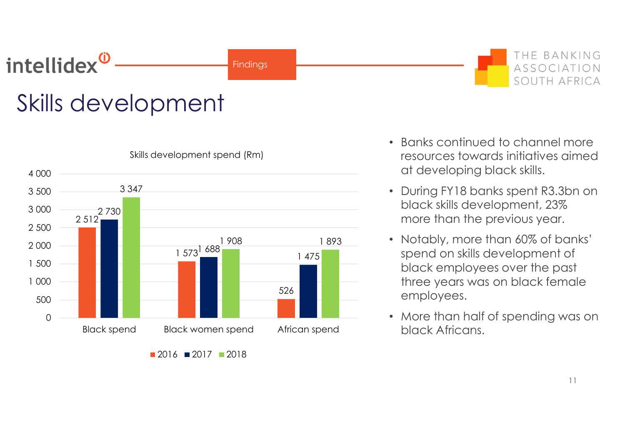# intellidex<sup>®</sup>

# Skills development



Skills development spend (Rm)

**Findings** 

• Banks continued to channel more resources towards initiatives aimed at developing black skills.

THE BANKING

ASSOCIATION SOUTH AFRICA

- During FY18 banks spent R3.3bn on black skills development, 23% more than the previous year.
- Notably, more than 60% of banks' 1 908 1 893 spend on skills development of 1 475 black employees over the past three years was on black female 526 employees.
	- More than half of spending was on black Africans.

<sup>2016</sup> **2017** 2018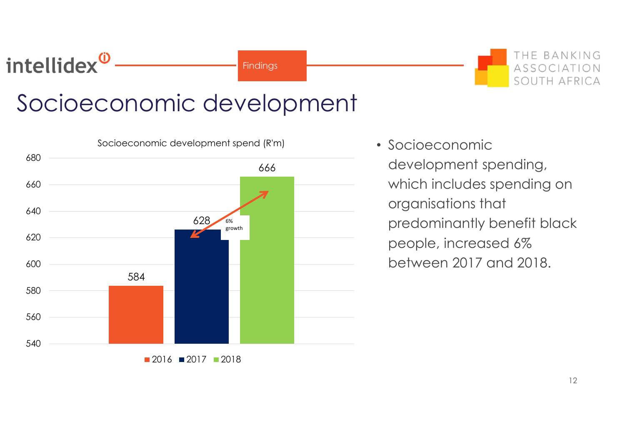# Socioeconomic development

intellidex<sup>0</sup>

**Findings** 



• Socioeconomic development spending, which includes spending on organisations that predominantly benefit black people, increased 6% between 2017 and 2018.

THE BANKING

SOUTH AFRICA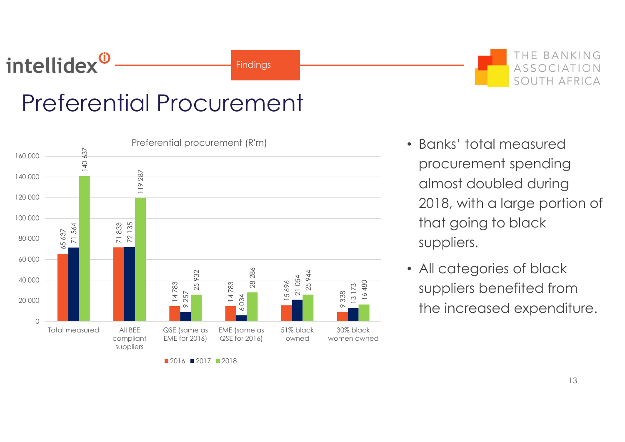# intellidex<sup>0</sup>

**Findings** 

# Preferential Procurement



 $2016$  2017 2018

- Banks' total measured procurement spending almost doubled during 2018, with a large portion of that going to black suppliers.
- All categories of black suppliers benefited from the increased expenditure.

THE BANKING

ASSOCIATION SOUTH AFRICA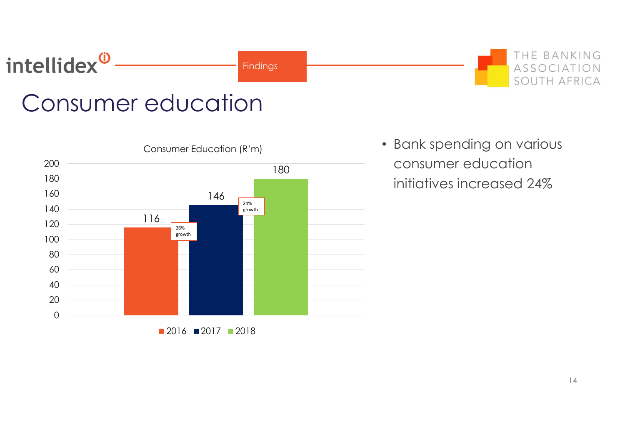# intellidex<sup>®</sup>

Findings

# Consumer education



• Bank spending on various consumer education initiatives increased 24%

THE BANKING

SOUTH AFRICA

ON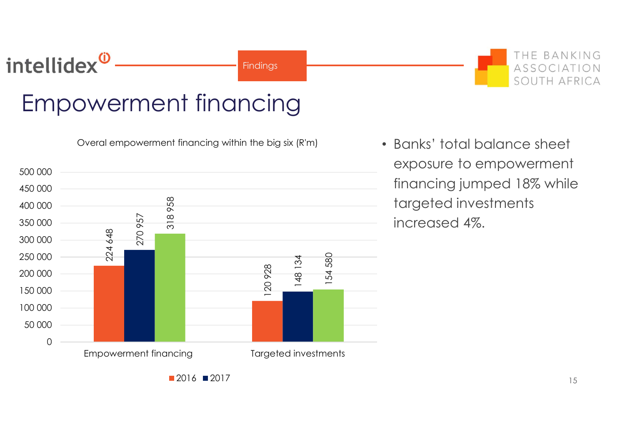**Findings** 

# Empowerment financing



• Banks' total balance sheet exposure to empowerment financing jumped 18% while targeted investments increased 4%.

THE BANKING

SOUTH AFRICA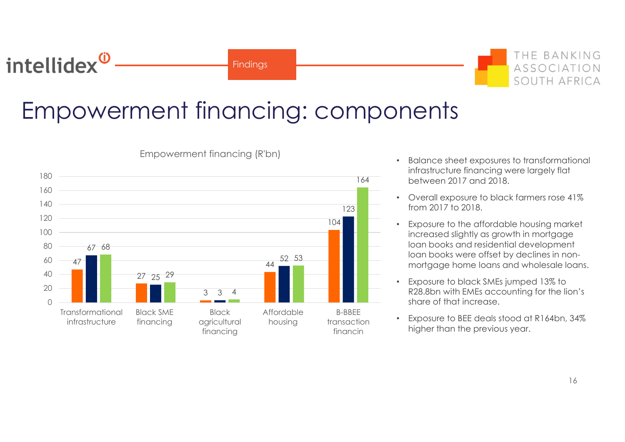# intellidex<sup>0</sup>

**Findings** 

THE BANKING ASSOCIATION SOUTH AFRICA

# Empowerment financing: components



Empowerment financing (R'bn)

- Balance sheet exposures to transformational infrastructure financing were largely flat between 2017 and 2018. 164
- Overall exposure to black farmers rose 41% **123 From 2017 to 2018.**
- 104 **Figure 104** Exposure to the affordable housing market increased slightly as growth in mortgage loan books and residential development loan books were offset by declines in nonmortgage home loans and wholesale loans.
	- Exposure to black SMEs jumped 13% to R28.8bn with EMEs accounting for the lion's share of that increase.
- Exposure to BEE deals stood at R164bn, 34% B-BBEE higher than the previous year. financin transaction **the Exposure TO DEE Gears STOC**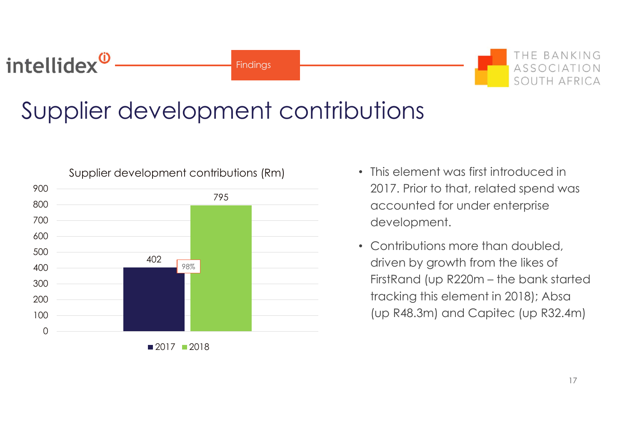# Supplier development contributions

**Findings** 



intellidex<sup>0</sup>

- This element was first introduced in 2017. Prior to that, related spend was accounted for under enterprise development.
- Contributions more than doubled, driven by growth from the likes of This element was first introduced in<br>2017. Prior to that, related spend was<br>accounted for under enterprise<br>development.<br>Contributions more than doubled,<br>driven by growth from the likes of<br>FirstRand (up R220m – the bank sta tracking this element in 2018); Absa (up R48.3m) and Capitec (up R32.4m)

THE BANKING

SOUTH AFRI

 $ASSOC$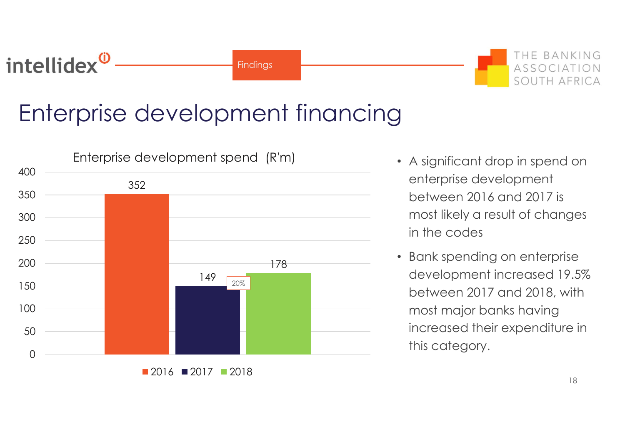# Enterprise development financing

intellidex<sup>0</sup>

**Findings** 



- A significant drop in spend on enterprise development between 2016 and 2017 is most likely a result of changes in the codes
- Bank spending on enterprise development increased 19.5% between 2017 and 2018, with most major banks having increased their expenditure in this category.

THE BANKING

SOUTH AFRICA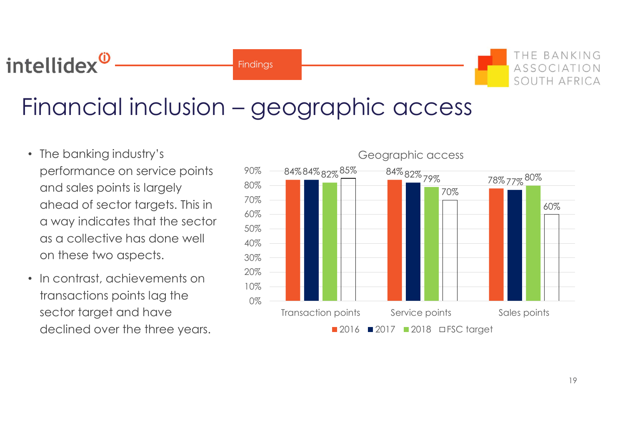# The banking industry's relation of the banking industry's and the banking industry's contracted a contracted the banking industry's contracted a contracted  $\cdot$  The banking industry's contracted by  $\cdot$  contracted by  $\cdot$

Findings

- The banking industry's performance on service points and sales points is largely  $^{80\%}$ <br>aboard of so ater terms to Finis in  $^{70\%}$ ahead of sector targets. This in  $\frac{70\%}{60\%}$ a way indicates that the sector  $\frac{60\%}{50\%}$ as a collective has done well  $_{40\%}$ on these two aspects.
- In contrast, achievements on  $^{20\%}_{10\%}$ transactions points lag the  $_{0\%}$ sector target and have declined over the three years.

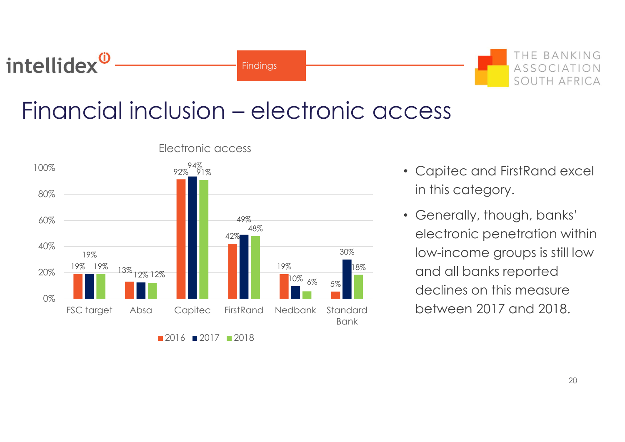# The Community of the Community of the Community of the Community of the Community of the Community of the Community of the Community of the Community of the Community of the Community of the Community of the Community of t

**Findings** 



- Capitec and FirstRand excel in this category.
- Generally, though, banks' 49% <sup>48%</sup> electronic penetration within low-income groups is still low 30% 19% and all banks reported and all banks reported <sup>6%</sup> <sup>5%</sup> declines on this measure between 2017 and 2018.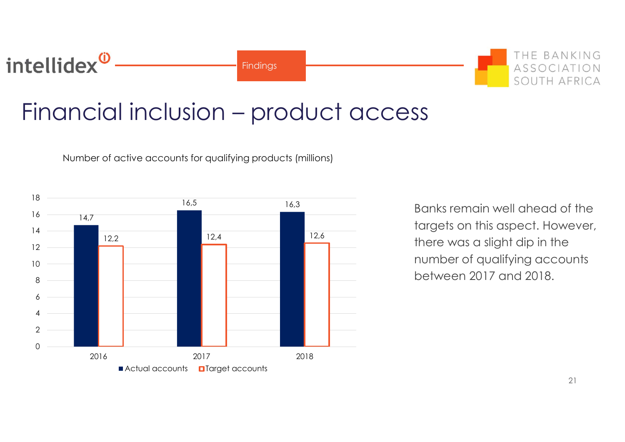# Financial inclusion – product access

**Findings** 

Number of active accounts for qualifying products (millions)



Banks remain well ahead of the targets on this aspect. However, there was a slight dip in the number of qualifying accounts between 2017 and 2018.

THE BANKING

ASSOCIAT SOUTH AFRI